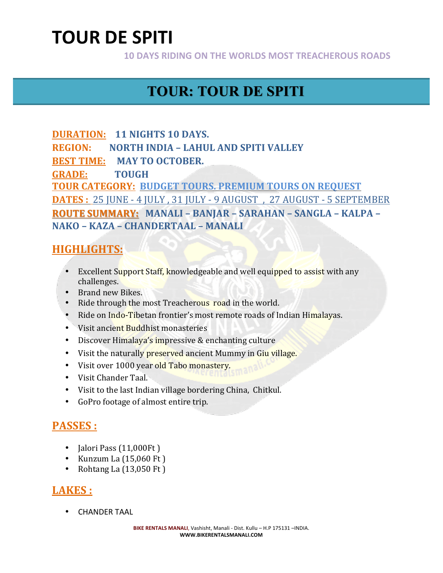**10 DAYS RIDING ON THE WORLDS MOST TREACHEROUS ROADS** 

# **TOUR: TOUR DE SPITI**

**DURATION: 11 NIGHTS 10 DAYS. REGION: NORTH INDIA – LAHUL AND SPITI VALLEY BEST TIME: MAY TO OCTOBER. GRADE: TOUGH TOUR CATEGORY: BUDGET TOURS. PREMIUM TOURS ON REQUEST DATES**: 25 JUNE - 4 JULY, 31 JULY - 9 AUGUST, 27 AUGUST - 5 SEPTEMBER **ROUTE SUMMARY:** MANALI – BANJAR – SARAHAN – SANGLA – KALPA – **NAKO – KAZA – CHANDERTAAL – MANALI**

### **HIGHLIGHTS:**

- Excellent Support Staff, knowledgeable and well equipped to assist with any challenges.
- Brand new Bikes.
- Ride through the most Treacherous road in the world.
- Ride on Indo-Tibetan frontier's most remote roads of Indian Himalayas.
- Visit ancient Buddhist monasteries
- Discover Himalaya's impressive & enchanting culture
- Visit the naturally preserved ancient Mummy in Giu village.
- Visit over 1000 year old Tabo monastery.
- Visit Chander Taal.
- Visit to the last Indian village bordering China, Chitkul.
- GoPro footage of almost entire trip.

### **PASSES :**

- Jalori Pass (11,000Ft)
- Kunzum La  $(15,060 \text{ Ft})$
- Rohtang La  $(13,050 \text{ Ft})$

### LAKES :

• CHANDER TAAL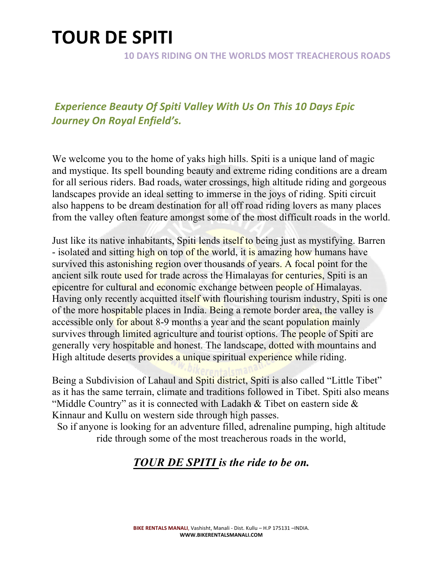**10 DAYS RIDING ON THE WORLDS MOST TREACHEROUS ROADS** 

### **Experience Beauty Of Spiti Valley With Us On This 10 Days Epic** *Journey On Royal Enfield's.*

We welcome you to the home of yaks high hills. Spiti is a unique land of magic and mystique. Its spell bounding beauty and extreme riding conditions are a dream for all serious riders. Bad roads, water crossings, high altitude riding and gorgeous landscapes provide an ideal setting to immerse in the joys of riding. Spiti circuit also happens to be dream destination for all off road riding lovers as many places from the valley often feature amongst some of the most difficult roads in the world.

Just like its native inhabitants, Spiti lends itself to being just as mystifying. Barren - isolated and sitting high on top of the world, it is amazing how humans have survived this astonishing region over thousands of years. A focal point for the ancient silk route used for trade across the Himalayas for centuries, Spiti is an epicentre for cultural and economic exchange between people of Himalayas. Having only recently acquitted itself with flourishing tourism industry, Spiti is one of the more hospitable places in India. Being a remote border area, the valley is accessible only for about 8-9 months a year and the scant population mainly survives through limited agriculture and tourist options. The people of Spiti are generally very hospitable and honest. The landscape, dotted with mountains and High altitude deserts provides a unique spiritual experience while riding.

Being a Subdivision of Lahaul and Spiti district, Spiti is also called "Little Tibet" as it has the same terrain, climate and traditions followed in Tibet. Spiti also means "Middle Country" as it is connected with Ladakh & Tibet on eastern side & Kinnaur and Kullu on western side through high passes.

So if anyone is looking for an adventure filled, adrenaline pumping, high altitude ride through some of the most treacherous roads in the world,

### *TOUR DE SPITI is the ride to be on.*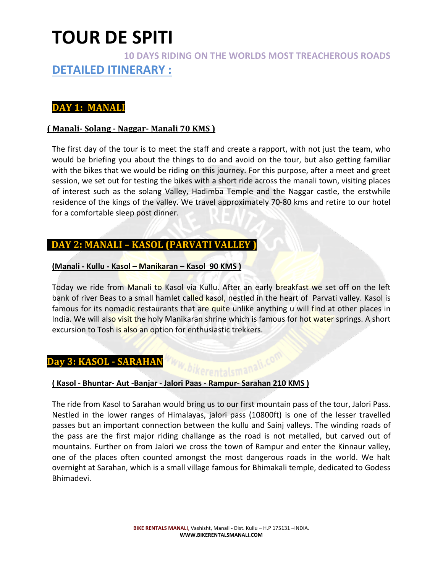### **10 DAYS RIDING ON THE WORLDS MOST TREACHEROUS ROADS DETAILED ITINERARY :**

#### **DAY 1: MANALI**

#### **( Manali- Solang - Naggar- Manali 70 KMS )**

The first day of the tour is to meet the staff and create a rapport, with not just the team, who would be briefing you about the things to do and avoid on the tour, but also getting familiar with the bikes that we would be riding on this journey. For this purpose, after a meet and greet session, we set out for testing the bikes with a short ride across the manali town, visiting places of interest such as the solang Valley, Hadimba Temple and the Naggar castle, the erstwhile residence of the kings of the valley. We travel approximately 70-80 kms and retire to our hotel for a comfortable sleep post dinner.

#### **DAY 2: MANALI - KASOL (PARVATI VALLEY)**

#### **(Manali - Kullu - Kasol – Manikaran – Kasol 90 KMS )**

Today we ride from Manali to Kasol via Kullu. After an early breakfast we set off on the left bank of river Beas to a small hamlet called kasol, nestled in the heart of Parvati valley. Kasol is famous for its nomadic restaurants that are quite unlike anything u will find at other places in India. We will also visit the holy Manikaran shrine which is famous for hot water springs. A short excursion to Tosh is also an option for enthusiastic trekkers.

#### **Day 3: KASOL - SARAHAN**

# **(** Kasol - Bhuntar- Aut -Banjar - Jalori Paas - Rampur- Sarahan 210 KMS )

The ride from Kasol to Sarahan would bring us to our first mountain pass of the tour, Jalori Pass. Nestled in the lower ranges of Himalayas, jalori pass (10800ft) is one of the lesser travelled passes but an important connection between the kullu and Sainj valleys. The winding roads of the pass are the first major riding challange as the road is not metalled, but carved out of mountains. Further on from Jalori we cross the town of Rampur and enter the Kinnaur valley, one of the places often counted amongst the most dangerous roads in the world. We halt overnight at Sarahan, which is a small village famous for Bhimakali temple, dedicated to Godess Bhimadevi.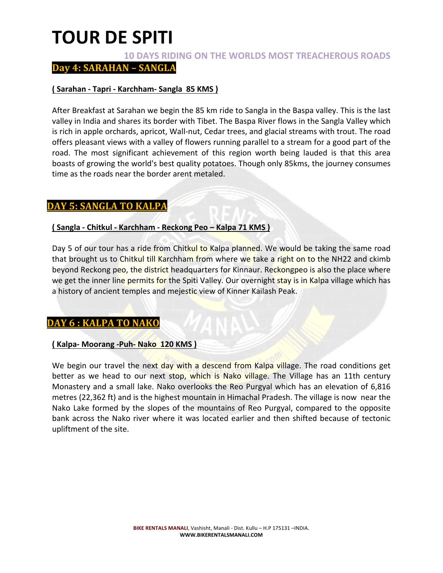#### **10 DAYS RIDING ON THE WORLDS MOST TREACHEROUS ROADS**

**Day 4: SARAHAN - SANGLA** 

#### **( Sarahan - Tapri - Karchham- Sangla 85 KMS )**

After Breakfast at Sarahan we begin the 85 km ride to Sangla in the Baspa valley. This is the last valley in India and shares its border with Tibet. The Baspa River flows in the Sangla Valley which is rich in apple orchards, apricot, Wall-nut, Cedar trees, and glacial streams with trout. The road offers pleasant views with a valley of flowers running parallel to a stream for a good part of the road. The most significant achievement of this region worth being lauded is that this area boasts of growing the world's best quality potatoes. Though only 85kms, the journey consumes time as the roads near the border arent metaled.

#### **DAY 5: SANGLA TO KALPA**

#### **( Sangla - Chitkul - Karchham - Reckong Peo – Kalpa 71 KMS )**

Day 5 of our tour has a ride from Chitkul to Kalpa planned. We would be taking the same road that brought us to Chitkul till Karchham from where we take a right on to the NH22 and ckimb beyond Reckong peo, the district headquarters for Kinnaur. Reckongpeo is also the place where we get the inner line permits for the Spiti Valley. Our overnight stay is in Kalpa village which has a history of ancient temples and mejestic view of Kinner Kailash Peak.

#### **DAY 6 : KALPA TO NAKO**

#### **( Kalpa- Moorang -Puh- Nako 120 KMS )**

We begin our travel the next day with a descend from Kalpa village. The road conditions get better as we head to our next stop, which is Nako village. The Village has an 11th century Monastery and a small lake. Nako overlooks the Reo Purgyal which has an elevation of 6,816 metres (22,362 ft) and is the highest mountain in Himachal Pradesh. The village is now near the Nako Lake formed by the slopes of the mountains of Reo Purgyal, compared to the opposite bank across the Nako river where it was located earlier and then shifted because of tectonic upliftment of the site.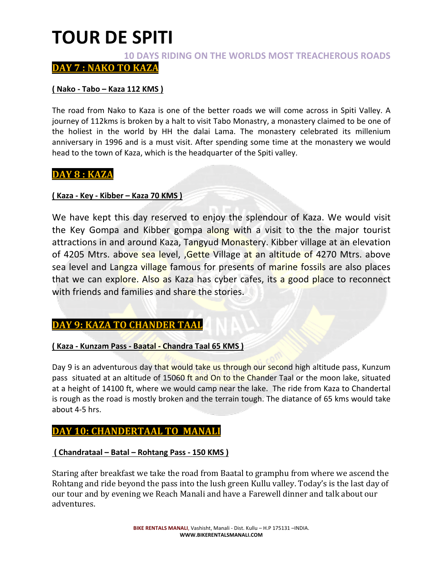**10 DAYS RIDING ON THE WORLDS MOST TREACHEROUS ROADS** 

DAY 7 : NAKO TO KAZA

#### **( Nako - Tabo – Kaza 112 KMS )**

The road from Nako to Kaza is one of the better roads we will come across in Spiti Valley. A journey of 112kms is broken by a halt to visit Tabo Monastry, a monastery claimed to be one of the holiest in the world by HH the dalai Lama. The monastery celebrated its millenium anniversary in 1996 and is a must visit. After spending some time at the monastery we would head to the town of Kaza, which is the headquarter of the Spiti valley.

#### **DAY 8 : KAZA**

#### **( Kaza - Key - Kibber – Kaza 70 KMS )**

We have kept this day reserved to enjoy the splendour of Kaza. We would visit the Key Gompa and Kibber gompa along with a visit to the the major tourist attractions in and around Kaza, Tangyud Monastery. Kibber village at an elevation of 4205 Mtrs. above sea level, Gette Village at an altitude of 4270 Mtrs. above sea level and Langza village famous for presents of marine fossils are also places that we can explore. Also as Kaza has cyber cafes, its a good place to reconnect with friends and families and share the stories.

#### **DAY 9: KAZA TO CHANDER TAAL**

#### **(Kaza - Kunzam Pass - Baatal - Chandra Taal 65 KMS)**

Day 9 is an adventurous day that would take us through our second high altitude pass, Kunzum pass situated at an altitude of 15060 ft and On to the Chander Taal or the moon lake, situated at a height of 14100 ft, where we would camp near the lake. The ride from Kaza to Chandertal is rough as the road is mostly broken and the terrain tough. The diatance of 65 kms would take about 4-5 hrs.

#### **DAY 10: CHANDERTAAL TO MANALI**

#### **( Chandrataal – Batal – Rohtang Pass - 150 KMS )**

Staring after breakfast we take the road from Baatal to gramphu from where we ascend the Rohtang and ride beyond the pass into the lush green Kullu valley. Today's is the last day of our tour and by evening we Reach Manali and have a Farewell dinner and talk about our adventures.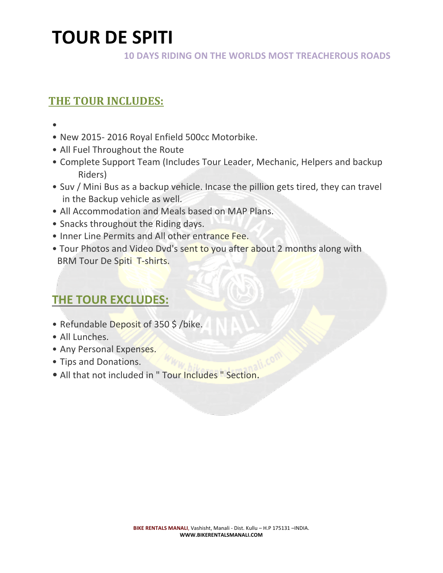**10 DAYS RIDING ON THE WORLDS MOST TREACHEROUS ROADS** 

## **THE TOUR INCLUDES:**

- •
- New 2015-2016 Royal Enfield 500cc Motorbike.
- All Fuel Throughout the Route
- Complete Support Team (Includes Tour Leader, Mechanic, Helpers and backup Riders)
- Suv / Mini Bus as a backup vehicle. Incase the pillion gets tired, they can travel in the Backup vehicle as well.
- All Accommodation and Meals based on MAP Plans.
- Snacks throughout the Riding days.
- Inner Line Permits and All other entrance Fee.
- Tour Photos and Video Dvd's sent to you after about 2 months along with BRM Tour De Spiti T-shirts.

# **THE TOUR EXCLUDES:**

- Refundable Deposit of 350 \$ /bike.
- All Lunches.
- Any Personal Expenses.
- Tips and Donations.
- All that not included in " Tour Includes " Section.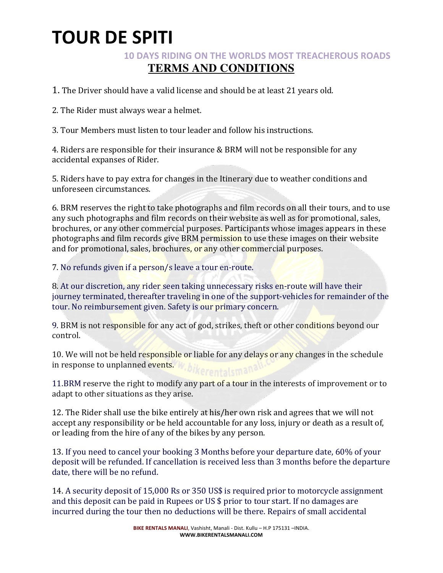### **10 DAYS RIDING ON THE WORLDS MOST TREACHEROUS ROADS TERMS AND CONDITIONS**

1. The Driver should have a valid license and should be at least 21 years old.

2. The Rider must always wear a helmet.

3. Tour Members must listen to tour leader and follow his instructions.

4. Riders are responsible for their insurance & BRM will not be responsible for any accidental expanses of Rider.

5. Riders have to pay extra for changes in the Itinerary due to weather conditions and unforeseen circumstances. 

6. BRM reserves the right to take photographs and film records on all their tours, and to use any such photographs and film records on their website as well as for promotional, sales, brochures, or any other commercial purposes. Participants whose images appears in these photographs and film records give BRM permission to use these images on their website and for promotional, sales, brochures, or any other commercial purposes.

7. No refunds given if a person/s leave a tour en-route.

8. At our discretion, any rider seen taking unnecessary risks en-route will have their journey terminated, thereafter traveling in one of the support-vehicles for remainder of the tour. No reimbursement given. Safety is our primary concern.

9. BRM is not responsible for any act of god, strikes, theft or other conditions beyond our control.

10. We will not be held responsible or liable for any delays or any changes in the schedule in response to unplanned events.

11.BRM reserve the right to modify any part of a tour in the interests of improvement or to adapt to other situations as they arise.

12. The Rider shall use the bike entirely at his/her own risk and agrees that we will not accept any responsibility or be held accountable for any loss, injury or death as a result of, or leading from the hire of any of the bikes by any person.

13. If you need to cancel your booking 3 Months before your departure date, 60% of your deposit will be refunded. If cancellation is received less than 3 months before the departure date, there will be no refund.

14. A security deposit of 15,000 Rs or 350 US\$ is required prior to motorcycle assignment and this deposit can be paid in Rupees or US  $$$  prior to tour start. If no damages are incurred during the tour then no deductions will be there. Repairs of small accidental